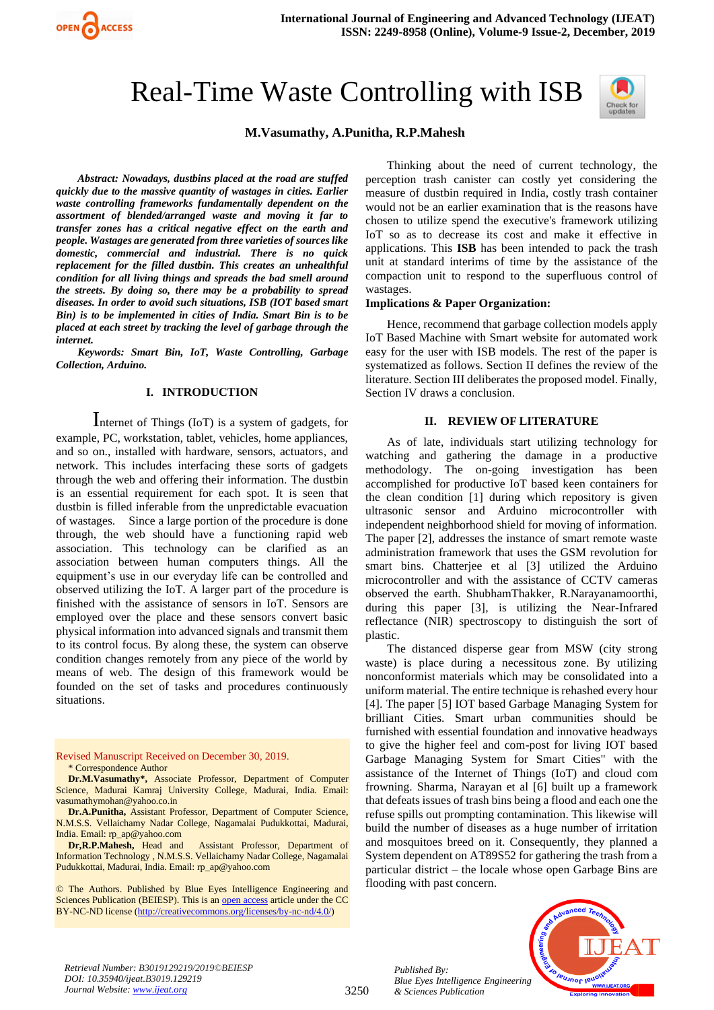# Real-Time Waste Controlling with ISB



# **M.Vasumathy, A.Punitha, R.P.Mahesh**

*Abstract: Nowadays, dustbins placed at the road are stuffed quickly due to the massive quantity of wastages in cities. Earlier waste controlling frameworks fundamentally dependent on the assortment of blended/arranged waste and moving it far to transfer zones has a critical negative effect on the earth and people. Wastages are generated from three varieties of sources like domestic, commercial and industrial. There is no quick replacement for the filled dustbin. This creates an unhealthful condition for all living things and spreads the bad smell around the streets. By doing so, there may be a probability to spread diseases. In order to avoid such situations, ISB (IOT based smart Bin) is to be implemented in cities of India. Smart Bin is to be placed at each street by tracking the level of garbage through the internet.*

OPEN ACCESS

*Keywords: Smart Bin, IoT, Waste Controlling, Garbage Collection, Arduino.*

# **I. INTRODUCTION**

Internet of Things (IoT) is a system of gadgets, for example, PC, workstation, tablet, vehicles, home appliances, and so on., installed with hardware, sensors, actuators, and network. This includes interfacing these sorts of gadgets through the web and offering their information. The dustbin is an essential requirement for each spot. It is seen that dustbin is filled inferable from the unpredictable evacuation of wastages. Since a large portion of the procedure is done through, the web should have a functioning rapid web association. This technology can be clarified as an association between human computers things. All the equipment's use in our everyday life can be controlled and observed utilizing the IoT. A larger part of the procedure is finished with the assistance of sensors in IoT. Sensors are employed over the place and these sensors convert basic physical information into advanced signals and transmit them to its control focus. By along these, the system can observe condition changes remotely from any piece of the world by means of web. The design of this framework would be founded on the set of tasks and procedures continuously situations.

Revised Manuscript Received on December 30, 2019. \* Correspondence Author

**Dr.M.Vasumathy\*,** Associate Professor, Department of Computer Science, Madurai Kamraj University College, Madurai, India. Email: [vasumathymohan@yahoo.co.in](mailto:vasumathymohan@yahoo.co.in)

**Dr.A.Punitha,** Assistant Professor, Department of Computer Science, N.M.S.S. Vellaichamy Nadar College, Nagamalai Pudukkottai, Madurai, India. Email[: rp\\_ap@yahoo.com](mailto:rp_ap@yahoo.com)<br>Dr,R.P.Mahesh, Head and

Assistant Professor, Department of Information Technology , N.M.S.S. Vellaichamy Nadar College, Nagamalai Pudukkottai, Madurai, India. Email[: rp\\_ap@yahoo.com](mailto:rp_ap@yahoo.com)

© The Authors. Published by Blue Eyes Intelligence Engineering and Sciences Publication (BEIESP). This is a[n open access](https://www.openaccess.nl/en/open-publications) article under the CC BY-NC-ND license [\(http://creativecommons.org/licenses/by-nc-nd/4.0/\)](http://creativecommons.org/licenses/by-nc-nd/4.0/)

Thinking about the need of current technology, the perception trash canister can costly yet considering the measure of dustbin required in India, costly trash container would not be an earlier examination that is the reasons have chosen to utilize spend the executive's framework utilizing IoT so as to decrease its cost and make it effective in applications. This **ISB** has been intended to pack the trash unit at standard interims of time by the assistance of the compaction unit to respond to the superfluous control of wastages.

## **Implications & Paper Organization:**

Hence, recommend that garbage collection models apply IoT Based Machine with Smart website for automated work easy for the user with ISB models. The rest of the paper is systematized as follows. Section II defines the review of the literature. Section III deliberates the proposed model. Finally, Section IV draws a conclusion.

# **II. REVIEW OF LITERATURE**

As of late, individuals start utilizing technology for watching and gathering the damage in a productive methodology. The on-going investigation has been accomplished for productive IoT based keen containers for the clean condition [1] during which repository is given ultrasonic sensor and Arduino microcontroller with independent neighborhood shield for moving of information. The paper [2], addresses the instance of smart remote waste administration framework that uses the GSM revolution for smart bins. Chatterjee et al [3] utilized the Arduino microcontroller and with the assistance of CCTV cameras observed the earth. ShubhamThakker, R.Narayanamoorthi, during this paper [3], is utilizing the Near-Infrared reflectance (NIR) spectroscopy to distinguish the sort of plastic.

The distanced disperse gear from MSW (city strong waste) is place during a necessitous zone. By utilizing nonconformist materials which may be consolidated into a uniform material. The entire technique is rehashed every hour [4]. The paper [5] IOT based Garbage Managing System for brilliant Cities. Smart urban communities should be furnished with essential foundation and innovative headways to give the higher feel and com-post for living IOT based Garbage Managing System for Smart Cities" with the assistance of the Internet of Things (IoT) and cloud com frowning. Sharma, Narayan et al [6] built up a framework that defeats issues of trash bins being a flood and each one the refuse spills out prompting contamination. This likewise will build the number of diseases as a huge number of irritation and mosquitoes breed on it. Consequently, they planned a System dependent on AT89S52 for gathering the trash from a particular district – the locale whose open Garbage Bins are flooding with past concern.



*Retrieval Number: B3019129219/2019©BEIESP DOI: 10.35940/ijeat.B3019.129219 Journal Website: [www.ijeat.org](http://www.ijeat.org/)*

*Published By: Blue Eyes Intelligence Engineering & Sciences Publication*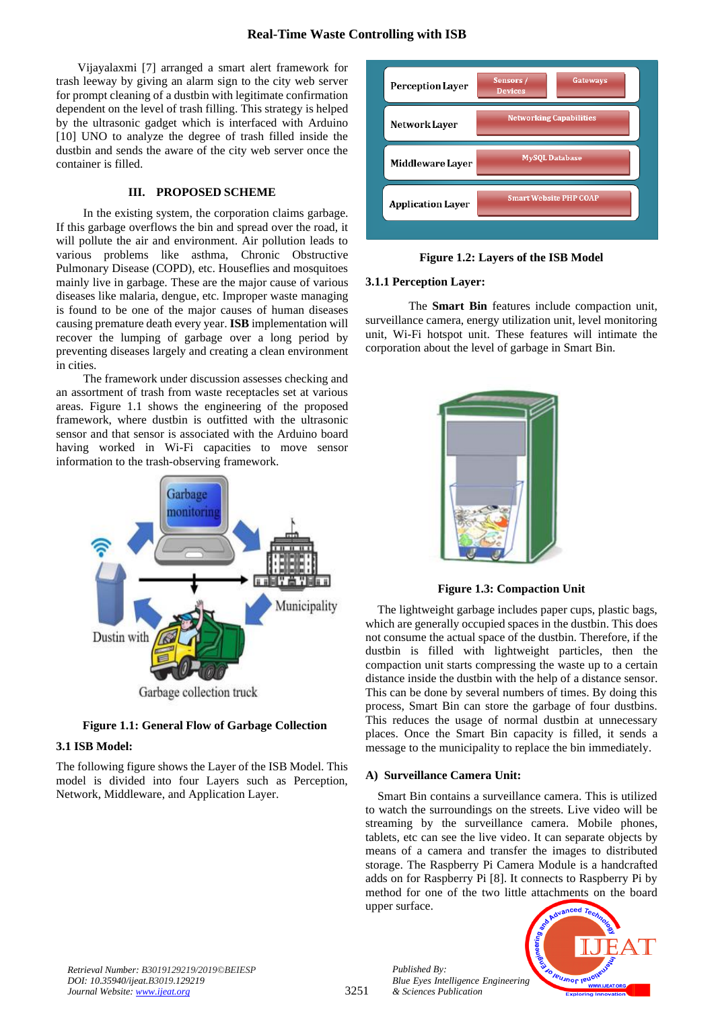# **Real-Time Waste Controlling with ISB**

Vijayalaxmi [7] arranged a smart alert framework for trash leeway by giving an alarm sign to the city web server for prompt cleaning of a dustbin with legitimate confirmation dependent on the level of trash filling. This strategy is helped by the ultrasonic gadget which is interfaced with Arduino [10] UNO to analyze the degree of trash filled inside the dustbin and sends the aware of the city web server once the container is filled.

# **III. PROPOSED SCHEME**

In the existing system, the corporation claims garbage. If this garbage overflows the bin and spread over the road, it will pollute the air and environment. Air pollution leads to various problems like asthma, Chronic Obstructive Pulmonary Disease (COPD), etc. Houseflies and mosquitoes mainly live in garbage. These are the major cause of various diseases like malaria, dengue, etc. Improper waste managing is found to be one of the major causes of human diseases causing premature death every year. **ISB** implementation will recover the lumping of garbage over a long period by preventing diseases largely and creating a clean environment in cities.

The framework under discussion assesses checking and an assortment of trash from waste receptacles set at various areas. Figure 1.1 shows the engineering of the proposed framework, where dustbin is outfitted with the ultrasonic sensor and that sensor is associated with the Arduino board having worked in Wi-Fi capacities to move sensor information to the trash-observing framework.



# **Figure 1.1: General Flow of Garbage Collection**

## **3.1 ISB Model:**

The following figure shows the Layer of the ISB Model. This model is divided into four Layers such as Perception, Network, Middleware, and Application Layer.



**Figure 1.2: Layers of the ISB Model**

# **3.1.1 Perception Layer:**

The **Smart Bin** features include compaction unit, surveillance camera, energy utilization unit, level monitoring unit, Wi-Fi hotspot unit. These features will intimate the corporation about the level of garbage in Smart Bin.



**Figure 1.3: Compaction Unit**

The lightweight garbage includes paper cups, plastic bags, which are generally occupied spaces in the dustbin. This does not consume the actual space of the dustbin. Therefore, if the dustbin is filled with lightweight particles, then the compaction unit starts compressing the waste up to a certain distance inside the dustbin with the help of a distance sensor. This can be done by several numbers of times. By doing this process, Smart Bin can store the garbage of four dustbins. This reduces the usage of normal dustbin at unnecessary places. Once the Smart Bin capacity is filled, it sends a message to the municipality to replace the bin immediately.

## **A) Surveillance Camera Unit:**

*Published By:*

*& Sciences Publication* 

Smart Bin contains a surveillance camera. This is utilized to watch the surroundings on the streets. Live video will be streaming by the surveillance camera. Mobile phones, tablets, etc can see the live video. It can separate objects by means of a camera and transfer the images to distributed storage. The Raspberry Pi Camera Module is a handcrafted adds on for Raspberry Pi [8]. It connects to Raspberry Pi by method for one of the two little attachments on the board upper surface.

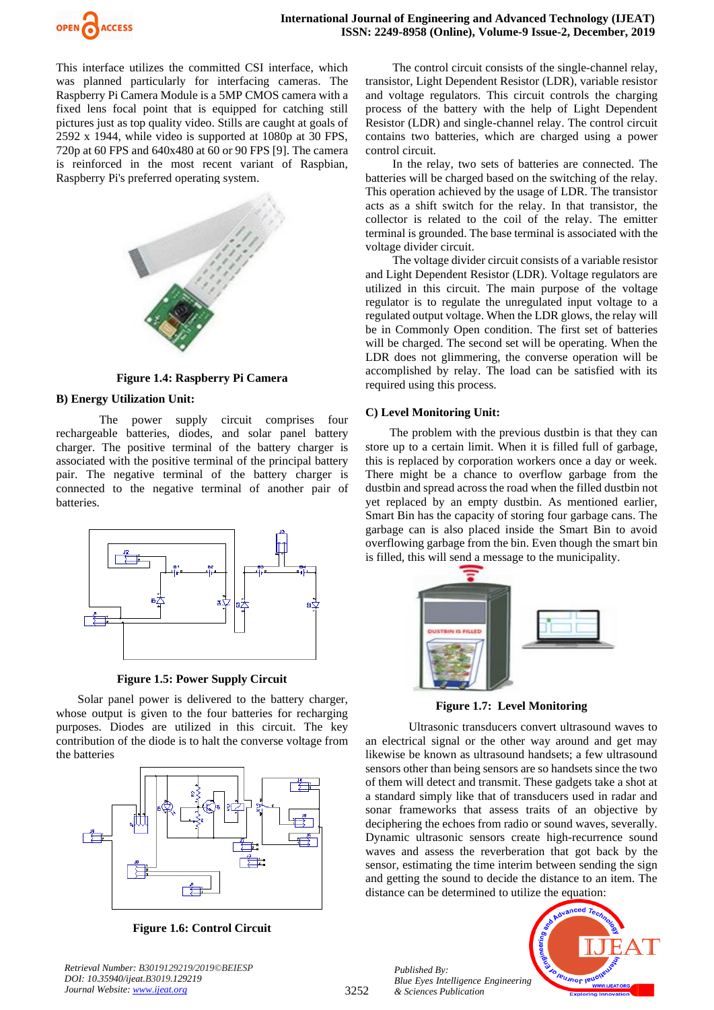

This interface utilizes the committed CSI interface, which was planned particularly for interfacing cameras. The Raspberry Pi Camera Module is a 5MP CMOS camera with a fixed lens focal point that is equipped for catching still pictures just as top quality video. Stills are caught at goals of 2592 x 1944, while video is supported at 1080p at 30 FPS, 720p at 60 FPS and 640x480 at 60 or 90 FPS [9]. The camera is reinforced in the most recent variant of Raspbian, Raspberry Pi's preferred operating system.



**Figure 1.4: Raspberry Pi Camera**

# **B) Energy Utilization Unit:**

The power supply circuit comprises four rechargeable batteries, diodes, and solar panel battery charger. The positive terminal of the battery charger is associated with the positive terminal of the principal battery pair. The negative terminal of the battery charger is connected to the negative terminal of another pair of batteries.



**Figure 1.5: Power Supply Circuit**

Solar panel power is delivered to the battery charger, whose output is given to the four batteries for recharging purposes. Diodes are utilized in this circuit. The key contribution of the diode is to halt the converse voltage from the batteries



**Figure 1.6: Control Circuit**

*Retrieval Number: B3019129219/2019©BEIESP DOI: 10.35940/ijeat.B3019.129219 Journal Website: [www.ijeat.org](http://www.ijeat.org/)*

The control circuit consists of the single-channel relay, transistor, Light Dependent Resistor (LDR), variable resistor and voltage regulators. This circuit controls the charging process of the battery with the help of Light Dependent Resistor (LDR) and single-channel relay. The control circuit contains two batteries, which are charged using a power control circuit.

In the relay, two sets of batteries are connected. The batteries will be charged based on the switching of the relay. This operation achieved by the usage of LDR. The transistor acts as a shift switch for the relay. In that transistor, the collector is related to the coil of the relay. The emitter terminal is grounded. The base terminal is associated with the voltage divider circuit.

The voltage divider circuit consists of a variable resistor and Light Dependent Resistor (LDR). Voltage regulators are utilized in this circuit. The main purpose of the voltage regulator is to regulate the unregulated input voltage to a regulated output voltage. When the LDR glows, the relay will be in Commonly Open condition. The first set of batteries will be charged. The second set will be operating. When the LDR does not glimmering, the converse operation will be accomplished by relay. The load can be satisfied with its required using this process.

# **C) Level Monitoring Unit:**

The problem with the previous dustbin is that they can store up to a certain limit. When it is filled full of garbage, this is replaced by corporation workers once a day or week. There might be a chance to overflow garbage from the dustbin and spread across the road when the filled dustbin not yet replaced by an empty dustbin. As mentioned earlier, Smart Bin has the capacity of storing four garbage cans. The garbage can is also placed inside the Smart Bin to avoid overflowing garbage from the bin. Even though the smart bin is filled, this will send a message to the municipality.



**Figure 1.7: Level Monitoring** 

Ultrasonic transducers convert ultrasound waves to an electrical signal or the other way around and get may likewise be known as ultrasound handsets; a few ultrasound sensors other than being sensors are so handsets since the two of them will detect and transmit. These gadgets take a shot at a standard simply like that of transducers used in radar and sonar frameworks that assess traits of an objective by deciphering the echoes from radio or sound waves, severally. Dynamic ultrasonic sensors create high-recurrence sound waves and assess the reverberation that got back by the sensor, estimating the time interim between sending the sign and getting the sound to decide the distance to an item. The distance can be determined to utilize the equation:



*Published By: Blue Eyes Intelligence Engineering & Sciences Publication*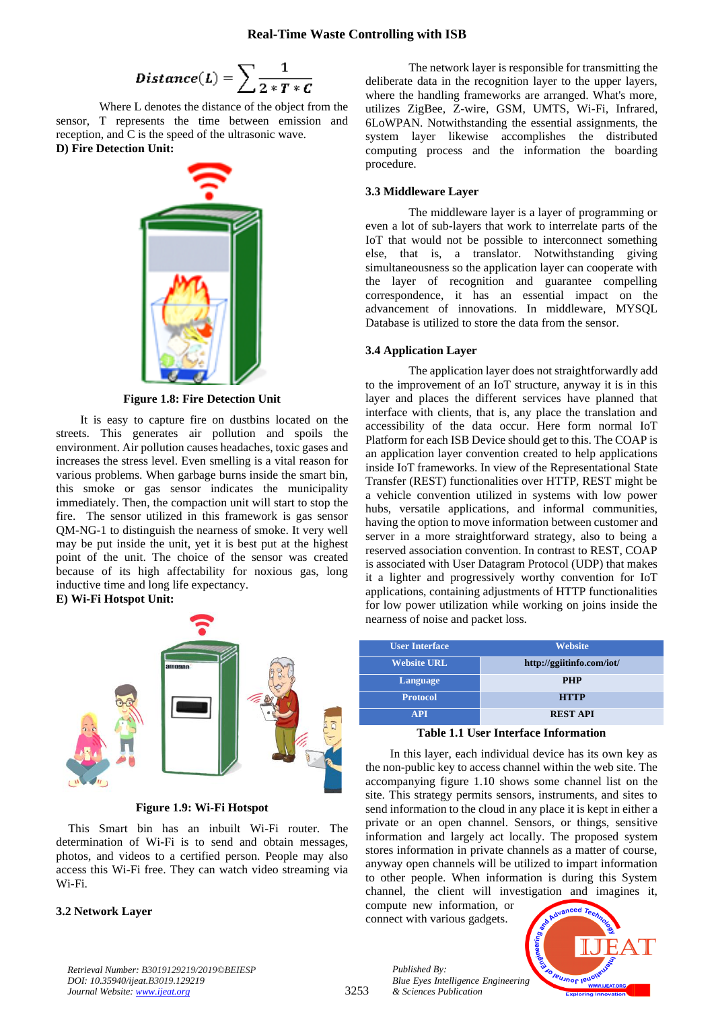$$
Distance(L) = \sum \frac{1}{2*T*C}
$$

Where L denotes the distance of the object from the sensor, T represents the time between emission and reception, and C is the speed of the ultrasonic wave. **D) Fire Detection Unit:**



**Figure 1.8: Fire Detection Unit**

It is easy to capture fire on dustbins located on the streets. This generates air pollution and spoils the environment. Air pollution causes headaches, toxic gases and increases the stress level. Even smelling is a vital reason for various problems. When garbage burns inside the smart bin, this smoke or gas sensor indicates the municipality immediately. Then, the compaction unit will start to stop the fire. The sensor utilized in this framework is gas sensor QM-NG-1 to distinguish the nearness of smoke. It very well may be put inside the unit, yet it is best put at the highest point of the unit. The choice of the sensor was created because of its high affectability for noxious gas, long inductive time and long life expectancy.

**E) Wi-Fi Hotspot Unit:**



**Figure 1.9: Wi-Fi Hotspot**

This Smart bin has an inbuilt Wi-Fi router. The determination of Wi-Fi is to send and obtain messages, photos, and videos to a certified person. People may also access this Wi-Fi free. They can watch video streaming via Wi-Fi.

## **3.2 Network Layer**

The network layer is responsible for transmitting the deliberate data in the recognition layer to the upper layers, where the handling frameworks are arranged. What's more, utilizes ZigBee, Z-wire, GSM, UMTS, Wi-Fi, Infrared, 6LoWPAN. Notwithstanding the essential assignments, the system layer likewise accomplishes the distributed computing process and the information the boarding procedure.

# **3.3 Middleware Layer**

The middleware layer is a layer of programming or even a lot of sub-layers that work to interrelate parts of the IoT that would not be possible to interconnect something else, that is, a translator. Notwithstanding giving simultaneousness so the application layer can cooperate with the layer of recognition and guarantee compelling correspondence, it has an essential impact on the advancement of innovations. In middleware, MYSQL Database is utilized to store the data from the sensor.

## **3.4 Application Layer**

The application layer does not straightforwardly add to the improvement of an IoT structure, anyway it is in this layer and places the different services have planned that interface with clients, that is, any place the translation and accessibility of the data occur. Here form normal IoT Platform for each ISB Device should get to this. The COAP is an application layer convention created to help applications inside IoT frameworks. In view of the Representational State Transfer (REST) functionalities over HTTP, REST might be a vehicle convention utilized in systems with low power hubs, versatile applications, and informal communities, having the option to move information between customer and server in a more straightforward strategy, also to being a reserved association convention. In contrast to REST, COAP is associated with User Datagram Protocol (UDP) that makes it a lighter and progressively worthy convention for IoT applications, containing adjustments of HTTP functionalities for low power utilization while working on joins inside the nearness of noise and packet loss.

| <b>User Interface</b> | <b>Website</b>            |
|-----------------------|---------------------------|
| <b>Website URL</b>    | http://ggiitinfo.com/iot/ |
| Language              | <b>PHP</b>                |
| <b>Protocol</b>       | <b>HTTP</b>               |
| <b>API</b>            | <b>REST API</b>           |

#### **Table 1.1 User Interface Information**

In this layer, each individual device has its own key as the non-public key to access channel within the web site. The accompanying figure 1.10 shows some channel list on the site. This strategy permits sensors, instruments, and sites to send information to the cloud in any place it is kept in either a private or an open channel. Sensors, or things, sensitive information and largely act locally. The proposed system stores information in private channels as a matter of course, anyway open channels will be utilized to impart information to other people. When information is during this System channel, the client will investigation and imagines it,

compute new information, or connect with various gadgets.

*& Sciences Publication* 

*Published By:*



*Retrieval Number: B3019129219/2019©BEIESP DOI: 10.35940/ijeat.B3019.129219 Journal Website[: www.ijeat.org](http://www.ijeat.org/)*

3253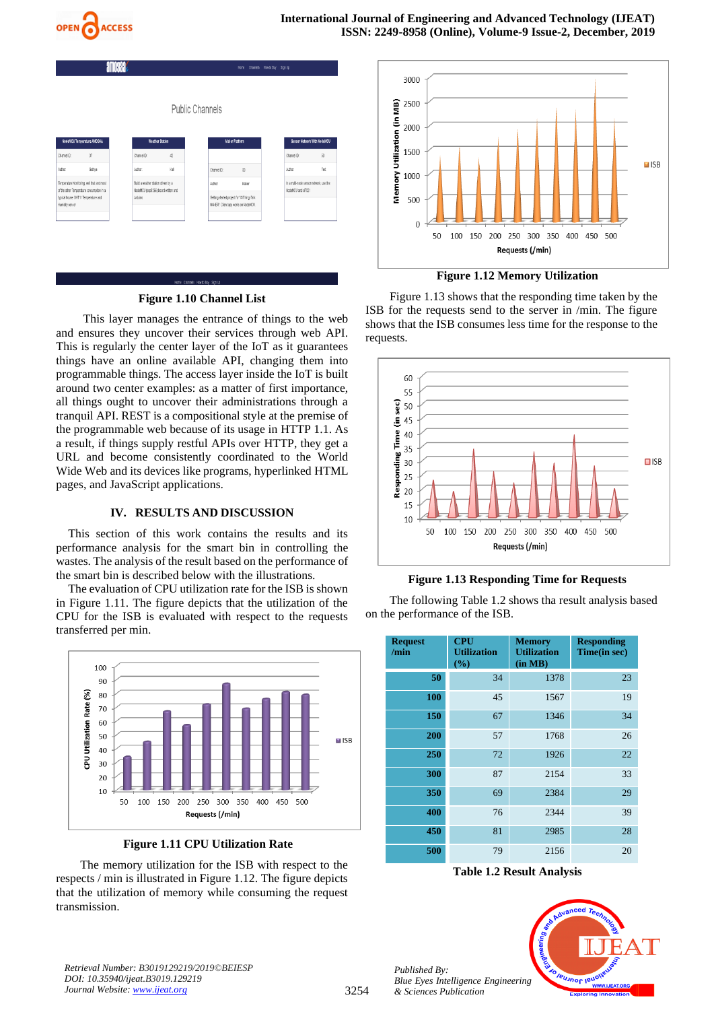

| alluddo,                                                |                                                                                         |  |                                                                                       |                 |                        | Hame channels Howto-Buy Sign-Up                                                                |       |                                                              |                             |
|---------------------------------------------------------|-----------------------------------------------------------------------------------------|--|---------------------------------------------------------------------------------------|-----------------|------------------------|------------------------------------------------------------------------------------------------|-------|--------------------------------------------------------------|-----------------------------|
|                                                         |                                                                                         |  |                                                                                       |                 | <b>Public Channels</b> |                                                                                                |       |                                                              |                             |
|                                                         | NodeMCU Temperature AMOGAA                                                              |  |                                                                                       | Weather Station |                        | <b>Maker Platform</b>                                                                          |       |                                                              | Sensor Network With NodeMCU |
| Channel ID                                              | 37                                                                                      |  | Channel D:                                                                            | 42              |                        |                                                                                                |       | Channel D:                                                   | 50                          |
| Author:                                                 | Sathya                                                                                  |  | Athor.                                                                                | Kali            |                        | 38<br>Channel ID:                                                                              |       | Athor.                                                       | Test                        |
| typical house. CHT11 Temperature and<br>Humidity sensor | Temperature Monitoring, well that and most<br>of the other Temperature consumption in a |  | Build a weather station driven by a<br>NodeMCU (esp8266) board written and<br>Arduino |                 |                        | Author:<br>Getting started project for "AIT hings Talk<br>MAHER*. Client app works on NodeMCU. | Maker | In a multi-node sensor network, use the<br>NodeMCU and s7021 |                             |

# **Figure 1.10 Channel List**

This layer manages the entrance of things to the web and ensures they uncover their services through web API. This is regularly the center layer of the IoT as it guarantees things have an online available API, changing them into programmable things. The access layer inside the IoT is built around two center examples: as a matter of first importance, all things ought to uncover their administrations through a tranquil API. REST is a compositional style at the premise of the programmable web because of its usage in HTTP 1.1. As a result, if things supply restful APIs over HTTP, they get a URL and become consistently coordinated to the World Wide Web and its devices like programs, hyperlinked HTML pages, and JavaScript applications.

## **IV. RESULTS AND DISCUSSION**

This section of this work contains the results and its performance analysis for the smart bin in controlling the wastes. The analysis of the result based on the performance of the smart bin is described below with the illustrations.

The evaluation of CPU utilization rate for the ISB is shown in Figure 1.11. The figure depicts that the utilization of the CPU for the ISB is evaluated with respect to the requests transferred per min.



**Figure 1.11 CPU Utilization Rate**

The memory utilization for the ISB with respect to the respects / min is illustrated in Figure 1.12. The figure depicts that the utilization of memory while consuming the request transmission.



**Figure 1.12 Memory Utilization** 

Figure 1.13 shows that the responding time taken by the ISB for the requests send to the server in /min. The figure shows that the ISB consumes less time for the response to the requests.



## **Figure 1.13 Responding Time for Requests**

The following Table 1.2 shows tha result analysis based on the performance of the ISB.

| <b>Request</b><br>/min | <b>CPU</b><br><b>Utilization</b><br>(%) | <b>Memory</b><br><b>Utilization</b><br>(in MB) | <b>Responding</b><br>Time(in sec) |
|------------------------|-----------------------------------------|------------------------------------------------|-----------------------------------|
| 50                     | 34                                      | 1378                                           | 23                                |
| 100                    | 45                                      | 1567                                           | 19                                |
| 150                    | 67                                      | 1346                                           | 34                                |
| 200                    | 57                                      | 1768                                           | 26                                |
| 250                    | 72                                      | 1926                                           | 22                                |
| 300                    | 87                                      | 2154                                           | 33                                |
| 350                    | 69                                      | 2384                                           | 29                                |
| 400                    | 76                                      | 2344                                           | 39                                |
| 450                    | 81                                      | 2985                                           | 28                                |
| 500                    | 79                                      | 2156                                           | 20                                |

**Table 1.2 Result Analysis**



*Retrieval Number: B3019129219/2019©BEIESP DOI: 10.35940/ijeat.B3019.129219 Journal Website: [www.ijeat.org](http://www.ijeat.org/)*

*Published By:*

*& Sciences Publication*